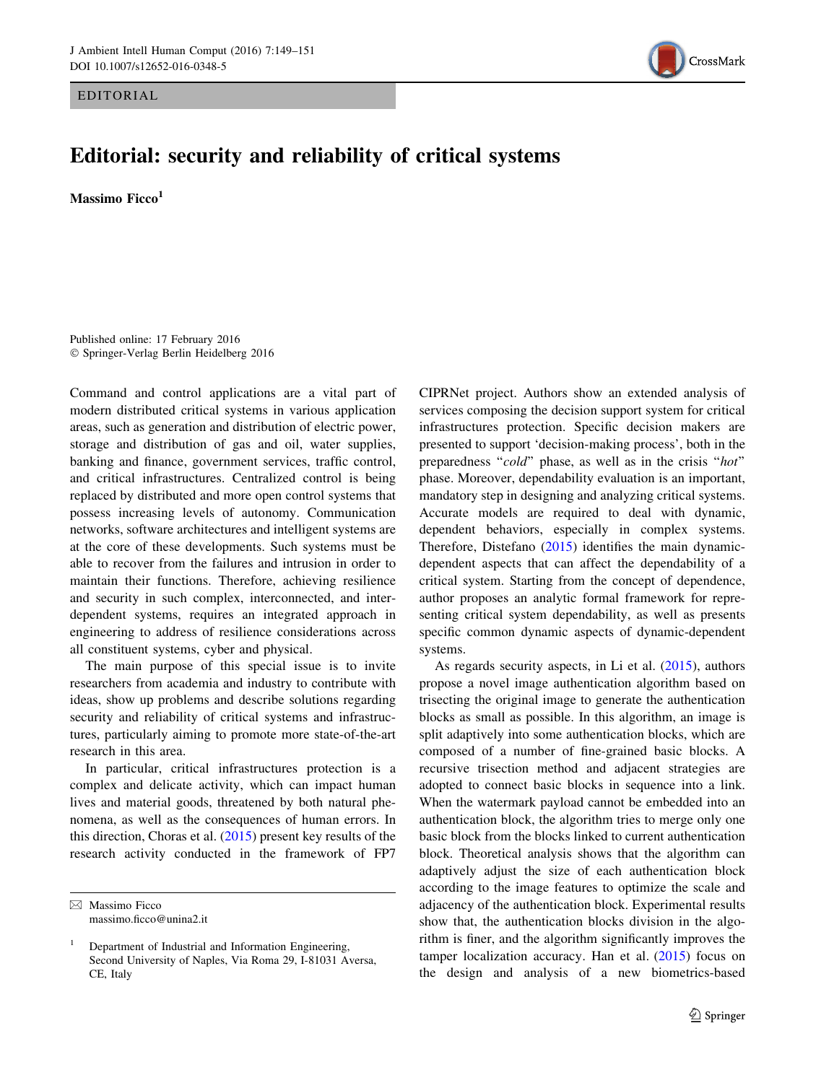EDITORIAL



## Editorial: security and reliability of critical systems

Massimo Ficco<sup>1</sup>

Published online: 17 February 2016 - Springer-Verlag Berlin Heidelberg 2016

Command and control applications are a vital part of modern distributed critical systems in various application areas, such as generation and distribution of electric power, storage and distribution of gas and oil, water supplies, banking and finance, government services, traffic control, and critical infrastructures. Centralized control is being replaced by distributed and more open control systems that possess increasing levels of autonomy. Communication networks, software architectures and intelligent systems are at the core of these developments. Such systems must be able to recover from the failures and intrusion in order to maintain their functions. Therefore, achieving resilience and security in such complex, interconnected, and interdependent systems, requires an integrated approach in engineering to address of resilience considerations across all constituent systems, cyber and physical.

The main purpose of this special issue is to invite researchers from academia and industry to contribute with ideas, show up problems and describe solutions regarding security and reliability of critical systems and infrastructures, particularly aiming to promote more state-of-the-art research in this area.

In particular, critical infrastructures protection is a complex and delicate activity, which can impact human lives and material goods, threatened by both natural phenomena, as well as the consequences of human errors. In this direction, Choras et al.  $(2015)$  $(2015)$  present key results of the research activity conducted in the framework of FP7 CIPRNet project. Authors show an extended analysis of services composing the decision support system for critical infrastructures protection. Specific decision makers are presented to support 'decision-making process', both in the preparedness "cold" phase, as well as in the crisis "hot" phase. Moreover, dependability evaluation is an important, mandatory step in designing and analyzing critical systems. Accurate models are required to deal with dynamic, dependent behaviors, especially in complex systems. Therefore, Distefano [\(2015](#page-2-0)) identifies the main dynamicdependent aspects that can affect the dependability of a critical system. Starting from the concept of dependence, author proposes an analytic formal framework for representing critical system dependability, as well as presents specific common dynamic aspects of dynamic-dependent systems.

As regards security aspects, in Li et al. ([2015\)](#page-2-0), authors propose a novel image authentication algorithm based on trisecting the original image to generate the authentication blocks as small as possible. In this algorithm, an image is split adaptively into some authentication blocks, which are composed of a number of fine-grained basic blocks. A recursive trisection method and adjacent strategies are adopted to connect basic blocks in sequence into a link. When the watermark payload cannot be embedded into an authentication block, the algorithm tries to merge only one basic block from the blocks linked to current authentication block. Theoretical analysis shows that the algorithm can adaptively adjust the size of each authentication block according to the image features to optimize the scale and adjacency of the authentication block. Experimental results show that, the authentication blocks division in the algorithm is finer, and the algorithm significantly improves the tamper localization accuracy. Han et al. ([2015\)](#page-2-0) focus on the design and analysis of a new biometrics-based

 $\boxtimes$  Massimo Ficco massimo.ficco@unina2.it

Department of Industrial and Information Engineering, Second University of Naples, Via Roma 29, I-81031 Aversa, CE, Italy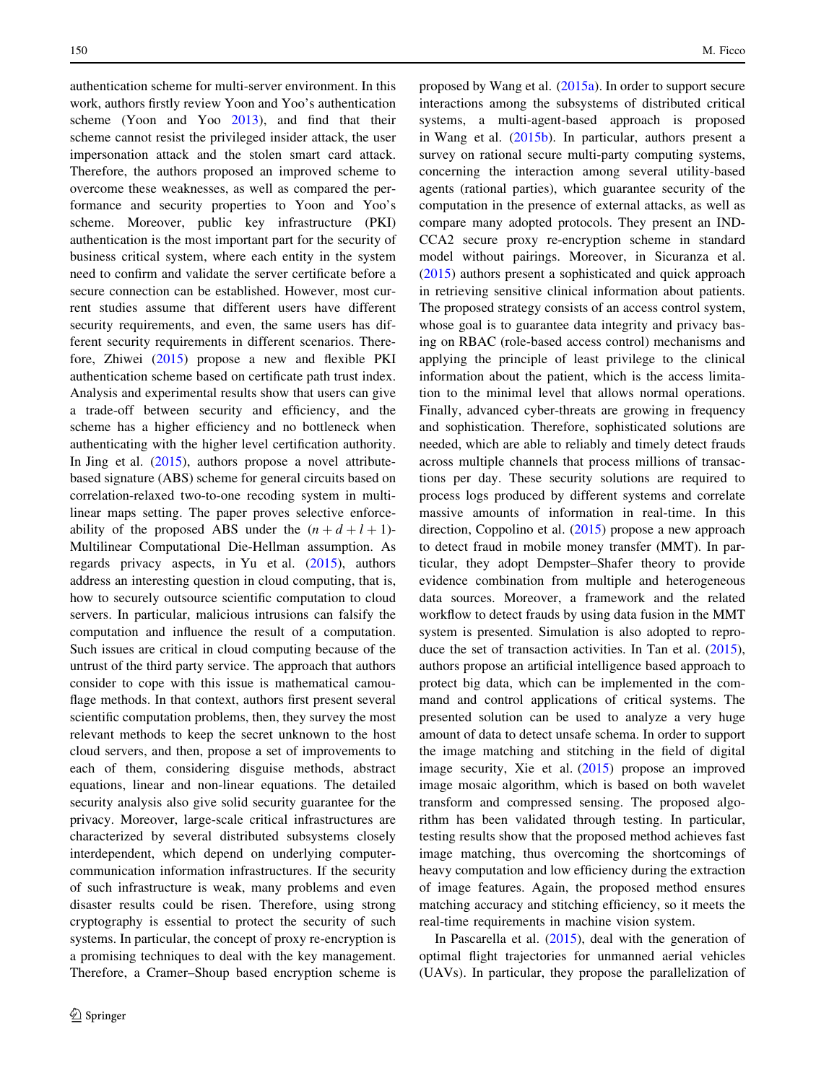authentication scheme for multi-server environment. In this work, authors firstly review Yoon and Yoo's authentication scheme (Yoon and Yoo [2013](#page-2-0)), and find that their scheme cannot resist the privileged insider attack, the user impersonation attack and the stolen smart card attack. Therefore, the authors proposed an improved scheme to overcome these weaknesses, as well as compared the performance and security properties to Yoon and Yoo's scheme. Moreover, public key infrastructure (PKI) authentication is the most important part for the security of business critical system, where each entity in the system need to confirm and validate the server certificate before a secure connection can be established. However, most current studies assume that different users have different security requirements, and even, the same users has different security requirements in different scenarios. Therefore, Zhiwei [\(2015](#page-2-0)) propose a new and flexible PKI authentication scheme based on certificate path trust index. Analysis and experimental results show that users can give a trade-off between security and efficiency, and the scheme has a higher efficiency and no bottleneck when authenticating with the higher level certification authority. In Jing et al. [\(2015](#page-2-0)), authors propose a novel attributebased signature (ABS) scheme for general circuits based on correlation-relaxed two-to-one recoding system in multilinear maps setting. The paper proves selective enforceability of the proposed ABS under the  $(n+d+l+1)$ -Multilinear Computational Die-Hellman assumption. As regards privacy aspects, in Yu et al. [\(2015](#page-2-0)), authors address an interesting question in cloud computing, that is, how to securely outsource scientific computation to cloud servers. In particular, malicious intrusions can falsify the computation and influence the result of a computation. Such issues are critical in cloud computing because of the untrust of the third party service. The approach that authors consider to cope with this issue is mathematical camouflage methods. In that context, authors first present several scientific computation problems, then, they survey the most relevant methods to keep the secret unknown to the host cloud servers, and then, propose a set of improvements to each of them, considering disguise methods, abstract equations, linear and non-linear equations. The detailed security analysis also give solid security guarantee for the privacy. Moreover, large-scale critical infrastructures are characterized by several distributed subsystems closely interdependent, which depend on underlying computercommunication information infrastructures. If the security of such infrastructure is weak, many problems and even disaster results could be risen. Therefore, using strong cryptography is essential to protect the security of such systems. In particular, the concept of proxy re-encryption is a promising techniques to deal with the key management. Therefore, a Cramer–Shoup based encryption scheme is proposed by Wang et al. ([2015a](#page-2-0)). In order to support secure interactions among the subsystems of distributed critical systems, a multi-agent-based approach is proposed in Wang et al. [\(2015b](#page-2-0)). In particular, authors present a survey on rational secure multi-party computing systems, concerning the interaction among several utility-based agents (rational parties), which guarantee security of the computation in the presence of external attacks, as well as compare many adopted protocols. They present an IND-CCA2 secure proxy re-encryption scheme in standard model without pairings. Moreover, in Sicuranza et al. [\(2015](#page-2-0)) authors present a sophisticated and quick approach in retrieving sensitive clinical information about patients. The proposed strategy consists of an access control system, whose goal is to guarantee data integrity and privacy basing on RBAC (role-based access control) mechanisms and applying the principle of least privilege to the clinical information about the patient, which is the access limitation to the minimal level that allows normal operations. Finally, advanced cyber-threats are growing in frequency and sophistication. Therefore, sophisticated solutions are needed, which are able to reliably and timely detect frauds across multiple channels that process millions of transactions per day. These security solutions are required to process logs produced by different systems and correlate massive amounts of information in real-time. In this direction, Coppolino et al. [\(2015](#page-2-0)) propose a new approach to detect fraud in mobile money transfer (MMT). In particular, they adopt Dempster–Shafer theory to provide evidence combination from multiple and heterogeneous data sources. Moreover, a framework and the related workflow to detect frauds by using data fusion in the MMT system is presented. Simulation is also adopted to reproduce the set of transaction activities. In Tan et al. [\(2015](#page-2-0)), authors propose an artificial intelligence based approach to protect big data, which can be implemented in the command and control applications of critical systems. The presented solution can be used to analyze a very huge amount of data to detect unsafe schema. In order to support the image matching and stitching in the field of digital image security, Xie et al. ([2015\)](#page-2-0) propose an improved image mosaic algorithm, which is based on both wavelet transform and compressed sensing. The proposed algorithm has been validated through testing. In particular, testing results show that the proposed method achieves fast image matching, thus overcoming the shortcomings of heavy computation and low efficiency during the extraction of image features. Again, the proposed method ensures matching accuracy and stitching efficiency, so it meets the real-time requirements in machine vision system.

In Pascarella et al. [\(2015](#page-2-0)), deal with the generation of optimal flight trajectories for unmanned aerial vehicles (UAVs). In particular, they propose the parallelization of